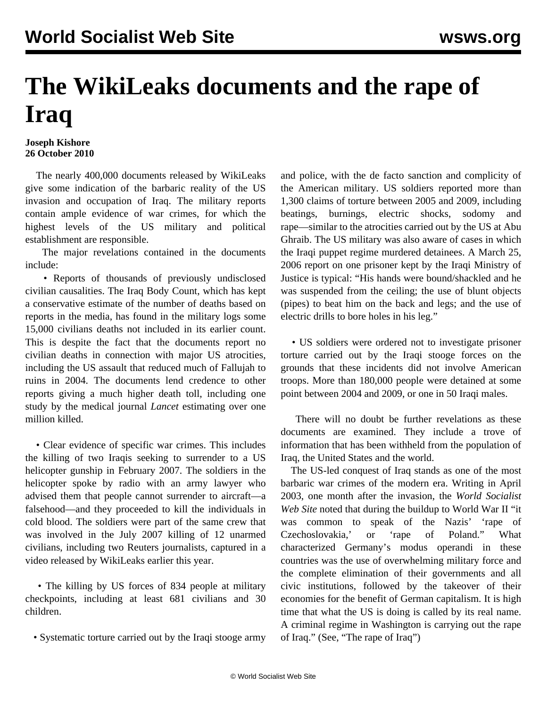## **The WikiLeaks documents and the rape of Iraq**

## **Joseph Kishore 26 October 2010**

 The nearly 400,000 documents released by WikiLeaks give some indication of the barbaric reality of the US invasion and occupation of Iraq. The military reports contain ample evidence of war crimes, for which the highest levels of the US military and political establishment are responsible.

 The major revelations contained in the documents include:

 • Reports of thousands of previously undisclosed civilian causalities. The Iraq Body Count, which has kept a conservative estimate of the number of deaths based on reports in the media, has found in the military logs some 15,000 civilians deaths not included in its earlier count. This is despite the fact that the documents report no civilian deaths in connection with major US atrocities, including the US assault that reduced much of Fallujah to ruins in 2004. The documents lend credence to other reports giving a much higher death toll, including one study by the medical journal *Lancet* estimating over one million killed.

 • Clear evidence of specific war crimes. This includes the killing of two Iraqis seeking to surrender to a US helicopter gunship in February 2007. The soldiers in the helicopter spoke by radio with an army lawyer who advised them that people cannot surrender to aircraft—a falsehood—and they proceeded to kill the individuals in cold blood. The soldiers were part of the same crew that was involved in the July 2007 killing of 12 unarmed civilians, including two Reuters journalists, captured in a video released by WikiLeaks earlier this year.

• The killing by US forces of 834 people at military checkpoints, including at least 681 civilians and 30 children.

• Systematic torture carried out by the Iraqi stooge army

and police, with the de facto sanction and complicity of the American military. US soldiers reported more than 1,300 claims of torture between 2005 and 2009, including beatings, burnings, electric shocks, sodomy and rape—similar to the atrocities carried out by the US at Abu Ghraib. The US military was also aware of cases in which the Iraqi puppet regime murdered detainees. A March 25, 2006 report on one prisoner kept by the Iraqi Ministry of Justice is typical: "His hands were bound/shackled and he was suspended from the ceiling; the use of blunt objects (pipes) to beat him on the back and legs; and the use of electric drills to bore holes in his leg."

 • US soldiers were ordered not to investigate prisoner torture carried out by the Iraqi stooge forces on the grounds that these incidents did not involve American troops. More than 180,000 people were detained at some point between 2004 and 2009, or one in 50 Iraqi males.

 There will no doubt be further revelations as these documents are examined. They include a trove of information that has been withheld from the population of Iraq, the United States and the world.

 The US-led conquest of Iraq stands as one of the most barbaric war crimes of the modern era. Writing in April 2003, one month after the invasion, the *World Socialist Web Site* noted that during the buildup to World War II "it was common to speak of the Nazis' 'rape of Czechoslovakia,' or 'rape of Poland." What characterized Germany's modus operandi in these countries was the use of overwhelming military force and the complete elimination of their governments and all civic institutions, followed by the takeover of their economies for the benefit of German capitalism. It is high time that what the US is doing is called by its real name. A criminal regime in Washington is carrying out the rape of Iraq." (See, ["The rape of Iraq"](/en/articles/2003/may2003/iraq-m09.shtml))